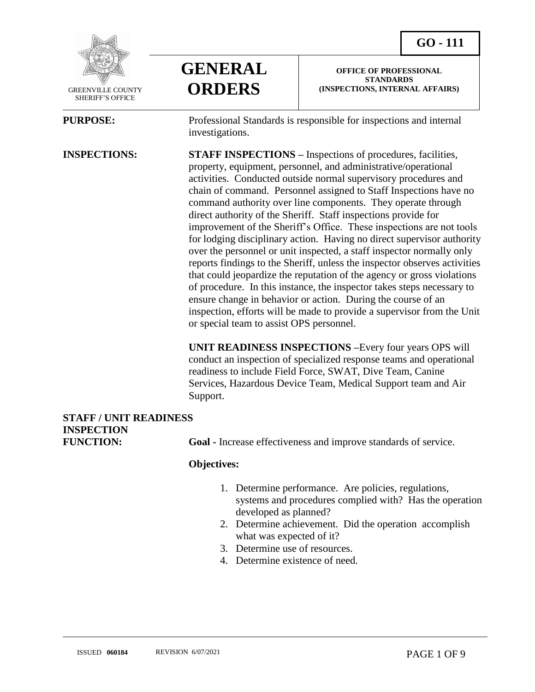

 GREENVILLE COUNTY SHERIFF'S OFFICE

 $\overline{a}$ 



**OFFICE OF PROFESSIONAL STANDARDS (INSPECTIONS, INTERNAL AFFAIRS)**

**PURPOSE:** Professional Standards is responsible for inspections and internal investigations.

**INSPECTIONS: STAFF INSPECTIONS –** Inspections of procedures, facilities, property, equipment, personnel, and administrative/operational activities. Conducted outside normal supervisory procedures and chain of command. Personnel assigned to Staff Inspections have no command authority over line components. They operate through direct authority of the Sheriff. Staff inspections provide for improvement of the Sheriff's Office. These inspections are not tools for lodging disciplinary action. Having no direct supervisor authority over the personnel or unit inspected, a staff inspector normally only reports findings to the Sheriff, unless the inspector observes activities that could jeopardize the reputation of the agency or gross violations of procedure. In this instance, the inspector takes steps necessary to ensure change in behavior or action. During the course of an inspection, efforts will be made to provide a supervisor from the Unit or special team to assist OPS personnel.

> **UNIT READINESS INSPECTIONS –**Every four years OPS will conduct an inspection of specialized response teams and operational readiness to include Field Force, SWAT, Dive Team, Canine Services, Hazardous Device Team, Medical Support team and Air Support.

# **STAFF / UNIT READINESS INSPECTION**

**FUNCTION:** Goal - Increase effectiveness and improve standards of service.

#### **Objectives:**

- 1. Determine performance. Are policies, regulations, systems and procedures complied with? Has the operation developed as planned?
- 2. Determine achievement. Did the operation accomplish what was expected of it?
- 3. Determine use of resources.
- 4. Determine existence of need.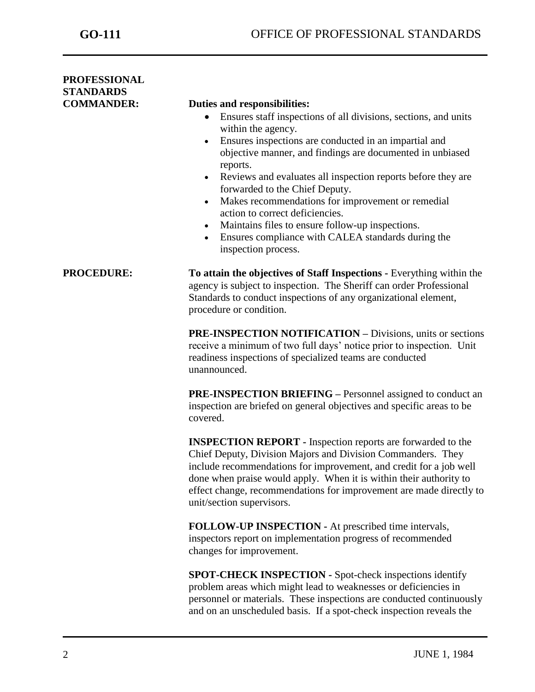| <b>PROFESSIONAL</b><br><b>STANDARDS</b> |                                                                                                                                                                                                                                                                                                                                                                                                                                                                                                                                                                                                                                                                  |
|-----------------------------------------|------------------------------------------------------------------------------------------------------------------------------------------------------------------------------------------------------------------------------------------------------------------------------------------------------------------------------------------------------------------------------------------------------------------------------------------------------------------------------------------------------------------------------------------------------------------------------------------------------------------------------------------------------------------|
| <b>COMMANDER:</b>                       | Duties and responsibilities:<br>Ensures staff inspections of all divisions, sections, and units<br>$\bullet$<br>within the agency.<br>Ensures inspections are conducted in an impartial and<br>$\bullet$<br>objective manner, and findings are documented in unbiased<br>reports.<br>Reviews and evaluates all inspection reports before they are<br>$\bullet$<br>forwarded to the Chief Deputy.<br>Makes recommendations for improvement or remedial<br>$\bullet$<br>action to correct deficiencies.<br>Maintains files to ensure follow-up inspections.<br>$\bullet$<br>Ensures compliance with CALEA standards during the<br>$\bullet$<br>inspection process. |
| <b>PROCEDURE:</b>                       | To attain the objectives of Staff Inspections - Everything within the<br>agency is subject to inspection. The Sheriff can order Professional<br>Standards to conduct inspections of any organizational element,<br>procedure or condition.<br><b>PRE-INSPECTION NOTIFICATION – Divisions, units or sections</b><br>receive a minimum of two full days' notice prior to inspection. Unit<br>readiness inspections of specialized teams are conducted                                                                                                                                                                                                              |
|                                         | unannounced.<br><b>PRE-INSPECTION BRIEFING – Personnel assigned to conduct an</b><br>inspection are briefed on general objectives and specific areas to be<br>covered.<br><b>INSPECTION REPORT</b> - Inspection reports are forwarded to the                                                                                                                                                                                                                                                                                                                                                                                                                     |
|                                         | Chief Deputy, Division Majors and Division Commanders. They<br>include recommendations for improvement, and credit for a job well<br>done when praise would apply. When it is within their authority to<br>effect change, recommendations for improvement are made directly to<br>unit/section supervisors.                                                                                                                                                                                                                                                                                                                                                      |
|                                         | <b>FOLLOW-UP INSPECTION</b> - At prescribed time intervals,<br>inspectors report on implementation progress of recommended<br>changes for improvement.                                                                                                                                                                                                                                                                                                                                                                                                                                                                                                           |
|                                         | <b>SPOT-CHECK INSPECTION - Spot-check inspections identify</b><br>problem areas which might lead to weaknesses or deficiencies in<br>personnel or materials. These inspections are conducted continuously<br>and on an unscheduled basis. If a spot-check inspection reveals the                                                                                                                                                                                                                                                                                                                                                                                 |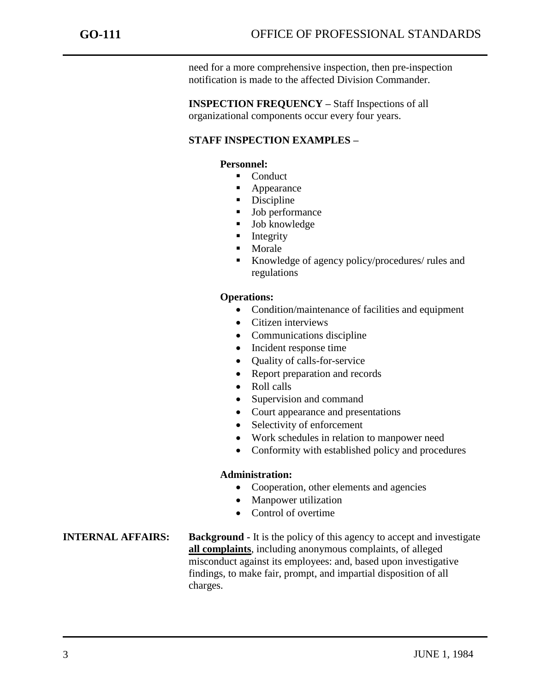need for a more comprehensive inspection, then pre-inspection notification is made to the affected Division Commander.

**INSPECTION FREQUENCY –** Staff Inspections of all organizational components occur every four years.

# **STAFF INSPECTION EXAMPLES –**

### **Personnel:**

- Conduct
- Appearance
- Discipline
- **Job performance**
- **Job** knowledge
- **Integrity**
- Morale
- Knowledge of agency policy/procedures/ rules and regulations

### **Operations:**

- Condition/maintenance of facilities and equipment
- Citizen interviews
- Communications discipline
- Incident response time
- Quality of calls-for-service
- Report preparation and records
- Roll calls
- Supervision and command
- Court appearance and presentations
- Selectivity of enforcement
- Work schedules in relation to manpower need
- Conformity with established policy and procedures

#### **Administration:**

- Cooperation, other elements and agencies
- Manpower utilization
- Control of overtime

### **INTERNAL AFFAIRS: Background -** It is the policy of this agency to accept and investigate **all complaints**, including anonymous complaints, of alleged misconduct against its employees: and, based upon investigative findings, to make fair, prompt, and impartial disposition of all charges.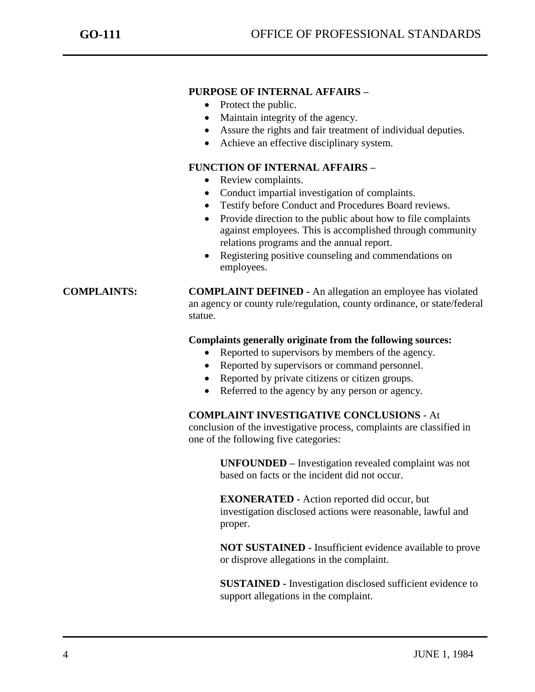## **PURPOSE OF INTERNAL AFFAIRS –**

- Protect the public.
- Maintain integrity of the agency.
- Assure the rights and fair treatment of individual deputies.
- Achieve an effective disciplinary system.

# **FUNCTION OF INTERNAL AFFAIRS –**

- Review complaints.
- Conduct impartial investigation of complaints.
- Testify before Conduct and Procedures Board reviews.
- Provide direction to the public about how to file complaints against employees. This is accomplished through community relations programs and the annual report.
- Registering positive counseling and commendations on employees.

**COMPLAINTS: COMPLAINT DEFINED -** An allegation an employee has violated an agency or county rule/regulation, county ordinance, or state/federal statue.

### **Complaints generally originate from the following sources:**

- Reported to supervisors by members of the agency.
- Reported by supervisors or command personnel.
- Reported by private citizens or citizen groups.
- Referred to the agency by any person or agency.

#### **COMPLAINT INVESTIGATIVE CONCLUSIONS** - At

conclusion of the investigative process, complaints are classified in one of the following five categories:

> **UNFOUNDED –** Investigation revealed complaint was not based on facts or the incident did not occur.

> **EXONERATED -** Action reported did occur, but investigation disclosed actions were reasonable, lawful and proper.

**NOT SUSTAINED -** Insufficient evidence available to prove or disprove allegations in the complaint.

**SUSTAINED -** Investigation disclosed sufficient evidence to support allegations in the complaint.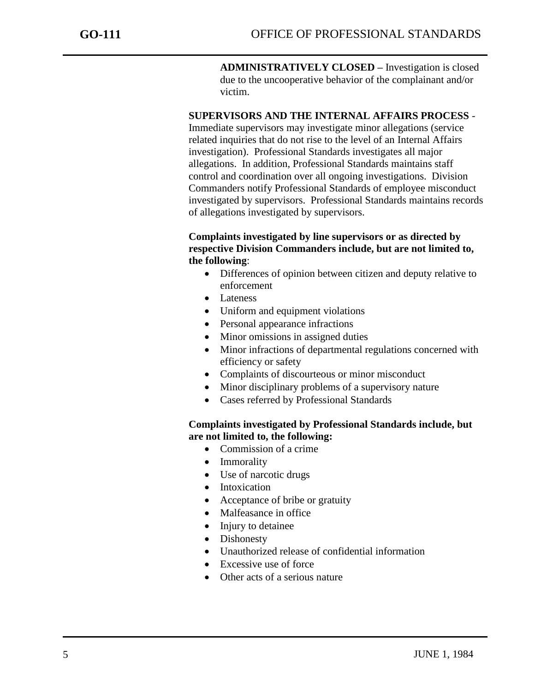**ADMINISTRATIVELY CLOSED –** Investigation is closed due to the uncooperative behavior of the complainant and/or victim.

# **SUPERVISORS AND THE INTERNAL AFFAIRS PROCESS** -

Immediate supervisors may investigate minor allegations (service related inquiries that do not rise to the level of an Internal Affairs investigation). Professional Standards investigates all major allegations. In addition, Professional Standards maintains staff control and coordination over all ongoing investigations. Division Commanders notify Professional Standards of employee misconduct investigated by supervisors. Professional Standards maintains records of allegations investigated by supervisors.

# **Complaints investigated by line supervisors or as directed by respective Division Commanders include, but are not limited to, the following**:

- Differences of opinion between citizen and deputy relative to enforcement
- Lateness
- Uniform and equipment violations
- Personal appearance infractions
- Minor omissions in assigned duties
- Minor infractions of departmental regulations concerned with efficiency or safety
- Complaints of discourteous or minor misconduct
- Minor disciplinary problems of a supervisory nature
- Cases referred by Professional Standards

### **Complaints investigated by Professional Standards include, but are not limited to, the following:**

- Commission of a crime
- Immorality
- Use of narcotic drugs
- Intoxication
- Acceptance of bribe or gratuity
- Malfeasance in office
- Injury to detainee
- Dishonesty
- Unauthorized release of confidential information
- $\bullet$  Excessive use of force
- Other acts of a serious nature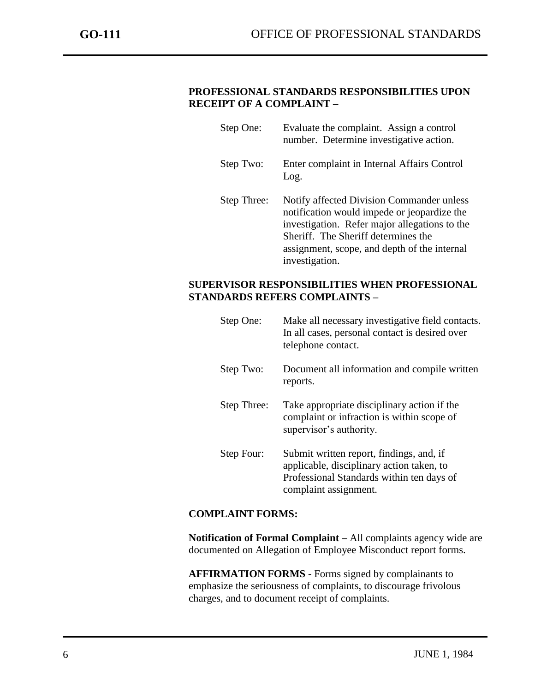### **PROFESSIONAL STANDARDS RESPONSIBILITIES UPON RECEIPT OF A COMPLAINT –**

| Step One:   | Evaluate the complaint. Assign a control<br>number. Determine investigative action.                                                                                                                                                                |
|-------------|----------------------------------------------------------------------------------------------------------------------------------------------------------------------------------------------------------------------------------------------------|
| Step Two:   | Enter complaint in Internal Affairs Control<br>Log.                                                                                                                                                                                                |
| Step Three: | Notify affected Division Commander unless<br>notification would impede or jeopardize the<br>investigation. Refer major allegations to the<br>Sheriff. The Sheriff determines the<br>assignment, scope, and depth of the internal<br>investigation. |

#### **SUPERVISOR RESPONSIBILITIES WHEN PROFESSIONAL STANDARDS REFERS COMPLAINTS –**

| Step One:   | Make all necessary investigative field contacts.<br>In all cases, personal contact is desired over<br>telephone contact.                                    |
|-------------|-------------------------------------------------------------------------------------------------------------------------------------------------------------|
| Step Two:   | Document all information and compile written<br>reports.                                                                                                    |
| Step Three: | Take appropriate disciplinary action if the<br>complaint or infraction is within scope of<br>supervisor's authority.                                        |
| Step Four:  | Submit written report, findings, and, if<br>applicable, disciplinary action taken, to<br>Professional Standards within ten days of<br>complaint assignment. |

# **COMPLAINT FORMS:**

**Notification of Formal Complaint –** All complaints agency wide are documented on Allegation of Employee Misconduct report forms.

**AFFIRMATION FORMS -** Forms signed by complainants to emphasize the seriousness of complaints, to discourage frivolous charges, and to document receipt of complaints.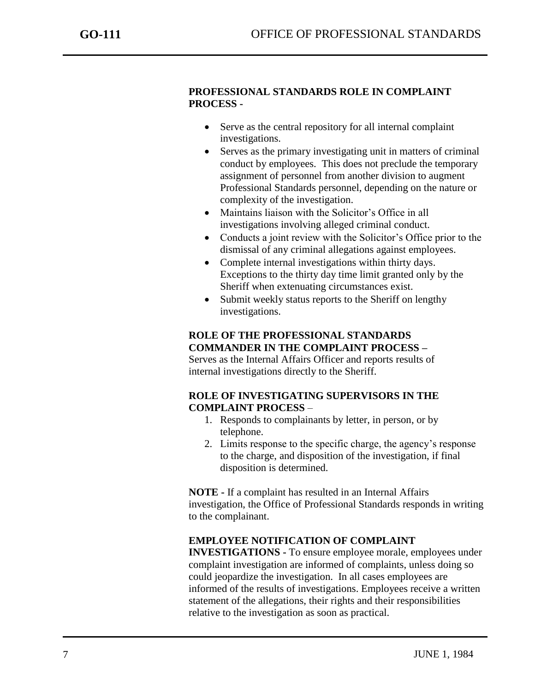### **PROFESSIONAL STANDARDS ROLE IN COMPLAINT PROCESS -**

- Serve as the central repository for all internal complaint investigations.
- Serves as the primary investigating unit in matters of criminal conduct by employees. This does not preclude the temporary assignment of personnel from another division to augment Professional Standards personnel, depending on the nature or complexity of the investigation.
- Maintains liaison with the Solicitor's Office in all investigations involving alleged criminal conduct.
- Conducts a joint review with the Solicitor's Office prior to the dismissal of any criminal allegations against employees.
- Complete internal investigations within thirty days. Exceptions to the thirty day time limit granted only by the Sheriff when extenuating circumstances exist.
- Submit weekly status reports to the Sheriff on lengthy investigations.

#### **ROLE OF THE PROFESSIONAL STANDARDS COMMANDER IN THE COMPLAINT PROCESS –**

Serves as the Internal Affairs Officer and reports results of internal investigations directly to the Sheriff.

# **ROLE OF INVESTIGATING SUPERVISORS IN THE COMPLAINT PROCESS** –

- 1. Responds to complainants by letter, in person, or by telephone.
- 2. Limits response to the specific charge, the agency's response to the charge, and disposition of the investigation, if final disposition is determined.

**NOTE -** If a complaint has resulted in an Internal Affairs investigation, the Office of Professional Standards responds in writing to the complainant.

# **EMPLOYEE NOTIFICATION OF COMPLAINT**

**INVESTIGATIONS -** To ensure employee morale, employees under complaint investigation are informed of complaints, unless doing so could jeopardize the investigation. In all cases employees are informed of the results of investigations. Employees receive a written statement of the allegations, their rights and their responsibilities relative to the investigation as soon as practical.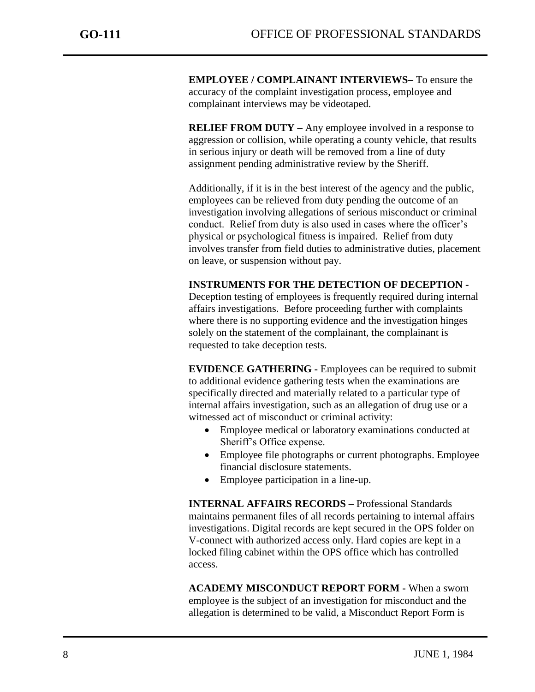**EMPLOYEE / COMPLAINANT INTERVIEWS–** To ensure the accuracy of the complaint investigation process, employee and complainant interviews may be videotaped.

**RELIEF FROM DUTY** – Any employee involved in a response to aggression or collision, while operating a county vehicle, that results in serious injury or death will be removed from a line of duty assignment pending administrative review by the Sheriff.

Additionally, if it is in the best interest of the agency and the public, employees can be relieved from duty pending the outcome of an investigation involving allegations of serious misconduct or criminal conduct. Relief from duty is also used in cases where the officer's physical or psychological fitness is impaired. Relief from duty involves transfer from field duties to administrative duties, placement on leave, or suspension without pay.

#### **INSTRUMENTS FOR THE DETECTION OF DECEPTION -**

Deception testing of employees is frequently required during internal affairs investigations. Before proceeding further with complaints where there is no supporting evidence and the investigation hinges solely on the statement of the complainant, the complainant is requested to take deception tests.

**EVIDENCE GATHERING -** Employees can be required to submit to additional evidence gathering tests when the examinations are specifically directed and materially related to a particular type of internal affairs investigation, such as an allegation of drug use or a witnessed act of misconduct or criminal activity:

- Employee medical or laboratory examinations conducted at Sheriff's Office expense.
- Employee file photographs or current photographs. Employee financial disclosure statements.
- Employee participation in a line-up.

**INTERNAL AFFAIRS RECORDS –** Professional Standards maintains permanent files of all records pertaining to internal affairs investigations. Digital records are kept secured in the OPS folder on V-connect with authorized access only. Hard copies are kept in a locked filing cabinet within the OPS office which has controlled access.

**ACADEMY MISCONDUCT REPORT FORM -** When a sworn employee is the subject of an investigation for misconduct and the allegation is determined to be valid, a Misconduct Report Form is